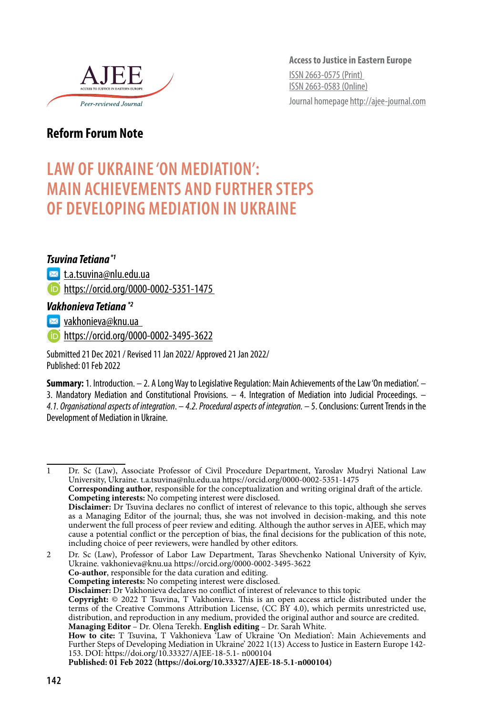

**Access to Justice in Eastern Europe** ISSN 2663-0575 (Print) ISSN 2663-0583 (Online) Journal homepage http://ajee-journal.com

### **Reform Forum Note**

# **LAW OF UKRAINE 'ON MEDIATION': MAIN ACHIEVEMENTS AND FURTHER STEPS OF DEVELOPING MEDIATION IN UKRAINE**

#### *Tsuvina Tetiana \*1*

**M** t.a.tsuvina@nlu.edu.ua

https://orcid.org/0000-0002-5351-1475

#### *Vakhonieva Tetiana \*2*

**I<sub>≥⊴</sub>** vakhonieva@knu.ua

https://orcid.org/0000-0002-3495-3622

Submitted 21 Dec 2021 / Revised 11 Jan 2022/ Approved 21 Jan 2022/ Published: 01 Feb 2022

**Summary:** 1. Introduction. – 2. A Long Way to Legislative Regulation: Main Achievements of the Law 'On mediation'. – 3. Mandatory Mediation and Constitutional Provisions. – 4. Integration of Mediation into Judicial Proceedings. – *4.1. Organisational aspects of integration*. – *4.2. Procedural aspects of integration.* – 5. Conclusions: Current Trends in the Development of Mediation in Ukraine.

1 Dr. Sc (Law), Associate Professor of Civil Procedure Department, Yaroslav Mudryi National Law University, Ukraine. t.a.tsuvina@nlu.edu.ua https://orcid.org/0000-0002-5351-1475 **Corresponding author**, responsible for the conceptualization and writing original draft of the article. **Competing interests:** No competing interest were disclosed. Disclaimer: Dr Tsuvina declares no conflict of interest of relevance to this topic, although she serves as a Managing Editor of the journal; thus, she was not involved in decision-making, and this note underwent the full process of peer review and editing. Although the author serves in AJEE, which may cause a potential conflict or the perception of bias, the final decisions for the publication of this note, including choice of peer reviewers, were handled by other editors. 2 Dr. Sc (Law), Professor of Labor Law Department, Taras Shevchenko National University of Kyiv, Ukraine. vakhonieva@knu.ua https://orcid.org/0000-0002-3495-3622 **Co-author**, responsible for the data curation and editing. **Competing interests:** No competing interest were disclosed. **Disclaimer:** Dr Vakhonieva declares no conflict of interest of relevance to this topic **Copyright:** © 2022 T Tsuvina, T Vakhonieva. This is an open access article distributed under the terms of the Creative Commons Attribution License, (CC BY 4.0), which permits unrestricted use, distribution, and reproduction in any medium, provided the original author and source are credited. **Managing Editor** – Dr. Olena Terekh. **English editing** – Dr. Sarah White. **How to cite:**  T Tsuvina, T Vakhonieva 'Law of Ukraine 'On Mediation': Main Achievements and Further Steps of Developing Mediation in Ukraine' 2022 1(13) Access to Justice in Eastern Europe 142- 153. DOI: https://doi.org/10.33327/AJEE-18-5.1- n000104

**Published: 01 Feb 2022 (https://doi.org/10.33327/AJEE-18-5.1-n000104)**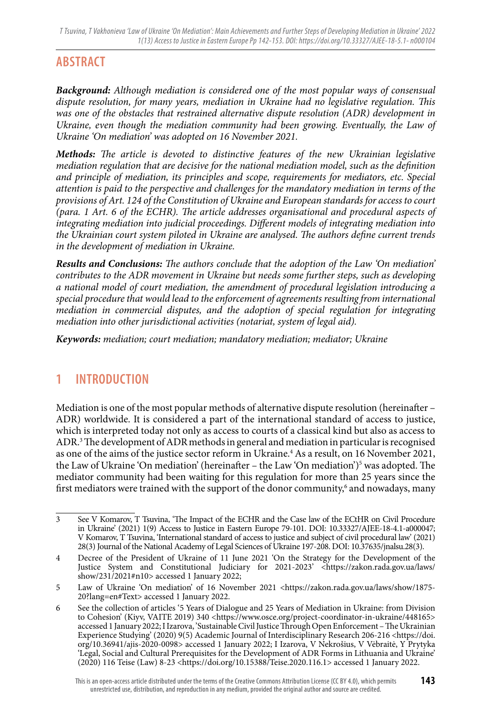# **ABSTRACT**

*Background: Although mediation is considered one of the most popular ways of consensual dispute resolution, for many years, mediation in Ukraine had no legislative regulation. This was one of the obstacles that restrained alternative dispute resolution (ADR) development in*  Ukraine, even though the mediation community had been growing. Eventually, the Law of *Ukraine 'On mediation' was adopted on 16 November 2021.*

*Methods: The article is devoted to distinctive features of the new Ukrainian legislative mediation regulation that are decisive for the national mediation model, such as the definition and principle of mediation, its principles and scope, requirements for mediators, etc. Special attention is paid to the perspective and challenges for the mandatory mediation in terms of the provisions of Art. 124 of the Constitution of Ukraine and European standards for access to court (para. 1 Art. 6 of the ECHR). The article addresses organisational and procedural aspects of integrating mediation into judicial proceedings. Different models of integrating mediation into the Ukrainian court system piloted in Ukraine are analysed. The authors define current trends in the development of mediation in Ukraine.*

*Results and Conclusions: The authors conclude that the adoption of the Law 'On mediation' contributes to the ADR movement in Ukraine but needs some further steps, such as developing a national model of court mediation, the amendment of procedural legislation introducing a special procedure that would lead to the enforcement of agreements resulting from international mediation in commercial disputes, and the adoption of special regulation for integrating mediation into other jurisdictional activities (notariat, system of legal aid).*

*Keywords: mediation; court mediation; mandatory mediation; mediator; Ukraine*

### **1 INTRODUCTION**

Mediation is one of the most popular methods of alternative dispute resolution (hereinafter – ADR) worldwide. It is considered a part of the international standard of access to justice, which is interpreted today not only as access to courts of a classical kind but also as access to ADR.3 The development of ADR methods in general and mediation in particular is recognised as one of the aims of the justice sector reform in Ukraine.<sup>4</sup> As a result, on 16 November 2021, the Law of Ukraine 'On mediation' (hereinafter - the Law 'On mediation')<sup>5</sup> was adopted. The mediator community had been waiting for this regulation for more than 25 years since the first mediators were trained with the support of the donor community,<sup>6</sup> and nowadays, many

<sup>3</sup> See V Komarov, T Tsuvina, 'The Impact of the ECHR and the Case law of the ECtHR on Civil Procedure in Ukraine' (2021) 1(9) Access to Justice in Eastern Europe 79-101. DOI: 10.33327/AJEE-18-4.1-a000047; V Komarov, T Tsuvina, 'International standard of access to justice and subject of civil procedural law' (2021) 28(3) Journal of the National Academy of Legal Sciences of Ukraine 197-208. DOI: 10.37635/jnalsu.28(3).

<sup>4</sup> Decree of the President of Ukraine of 11 June 2021 'On the Strategy for the Development of the Justice System and Constitutional Judiciary for 2021-2023' <https://zakon.rada.gov.ua/laws/ show/231/2021#n10> accessed 1 January 2022;

<sup>5</sup> Law of Ukraine 'On mediation' of 16 November 2021 <https://zakon.rada.gov.ua/laws/show/1875-20?lang=en#Text> accessed 1 January 2022.

<sup>6</sup> See the collection of articles '5 Years of Dialogue and 25 Years of Mediation in Ukraine: from Division to Cohesion' (Kiyv, VAITE 2019) 340 <https://www.osce.org/project-coordinator-in-ukraine/448165> accessed 1 January 2022; I Izarova, 'Sustainable Civil Justice Through Open Enforcement – The Ukrainian Experience Studying' (2020) 9(5) Academic Journal of Interdisciplinary Research 206-216 <https://doi. org/10.36941/ajis-2020-0098> accessed 1 January 2022; I Izarova, V Nekrošius, V Vėbraitė, Y Prytyka 'Legal, Social and Cultural Prerequisites for the Development of ADR Forms in Lithuania and Ukraine' (2020) 116 Teise (Law) 8-23 <https://doi.org/10.15388/Teise.2020.116.1> accessed 1 January 2022.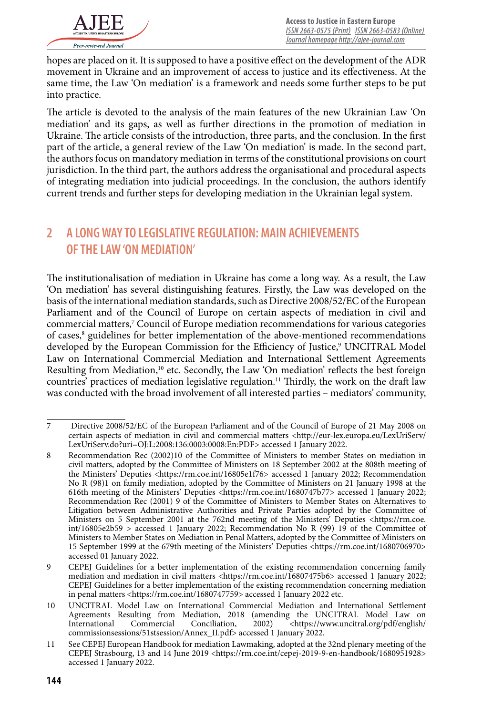hopes are placed on it. It is supposed to have a positive effect on the development of the ADR movement in Ukraine and an improvement of access to justice and its effectiveness. At the same time, the Law 'On mediation' is a framework and needs some further steps to be put into practice.

The article is devoted to the analysis of the main features of the new Ukrainian Law 'On mediation' and its gaps, as well as further directions in the promotion of mediation in Ukraine. The article consists of the introduction, three parts, and the conclusion. In the first part of the article, a general review of the Law 'On mediation' is made. In the second part, the authors focus on mandatory mediation in terms of the constitutional provisions on court jurisdiction. In the third part, the authors address the organisational and procedural aspects of integrating mediation into judicial proceedings. In the conclusion, the authors identify current trends and further steps for developing mediation in the Ukrainian legal system.

### **2 A LONG WAY TO LEGISLATIVE REGULATION: MAIN ACHIEVEMENTS OF THE LAW 'ON MEDIATION'**

The institutionalisation of mediation in Ukraine has come a long way. As a result, the Law 'On mediation' has several distinguishing features. Firstly, the Law was developed on the basis of the international mediation standards, such as Directive 2008/52/EC of the European Parliament and of the Council of Europe on certain aspects of mediation in civil and commercial matters,<sup>7</sup> Council of Europe mediation recommendations for various categories of cases,<sup>8</sup> guidelines for better implementation of the above-mentioned recommendations developed by the European Commission for the Efficiency of Justice,<sup>9</sup> UNCITRAL Model Law on International Commercial Mediation and International Settlement Agreements Resulting from Mediation,<sup>10</sup> etc. Secondly, the Law 'On mediation' reflects the best foreign countries' practices of mediation legislative regulation.<sup>11</sup> Thirdly, the work on the draft law was conducted with the broad involvement of all interested parties – mediators' community,

<sup>7</sup> Directive 2008/52/EC of the European Parliament and of the Council of Europe of 21 May 2008 on certain aspects of mediation in civil and commercial matters <http://eur-lex.europa.eu/LexUriServ/ LexUriServ.do?uri=OJ:L:2008:136:0003:0008:En:PDF> accessed 1 January 2022.

<sup>8</sup> Recommendation Rec (2002)10 of the Committee of Ministers to member States on mediation in civil matters, adopted by the Committee of Ministers on 18 September 2002 at the 808th meeting of the Ministers' Deputies <https://rm.coe.int/16805e1f76> accessed 1 January 2022; Recommendation No R (98)1 on family mediation, adopted by the Committee of Ministers on 21 January 1998 at the 616th meeting of the Ministers' Deputies <https://rm.coe.int/1680747b77> accessed 1 January 2022; Recommendation Rec (2001) 9 of the Committee of Ministers to Member States on Alternatives to Litigation between Administrative Authorities and Private Parties adopted by the Committee of Ministers on 5 September 2001 at the 762nd meeting of the Ministers' Deputies <https://rm.coe. int/16805e2b59 > accessed 1 January 2022; Recommendation No R (99) 19 of the Committee of Ministers to Member States on Mediation in Penal Matters, adopted by the Committee of Ministers on 15 September 1999 at the 679th meeting of the Ministers' Deputies <https://rm.coe.int/1680706970> accessed 01 January 2022.

<sup>9</sup> CEPEJ Guidelines for a better implementation of the existing recommendation concerning family mediation and mediation in civil matters <https://rm.coe.int/16807475b6> accessed 1 January 2022; CEPEJ Guidelines for a better implementation of the existing recommendation concerning mediation in penal matters <https://rm.coe.int/1680747759> accessed 1 January 2022 etc.

<sup>10</sup> UNCITRAL Model Law on International Commercial Mediation and International Settlement Agreements Resulting from Mediation, 2018 (amending the UNCITRAL Model Law on International Commercial Conciliation, 2002) <https://www.uncitral.org/pdf/english/  $\sim$ https://www.uncitral.org/pdf/english/ commissionsessions/51stsession/Annex\_II.pdf> accessed 1 January 2022.

<sup>11</sup> See CEPEJ European Handbook for mediation Lawmaking, adopted at the 32nd plenary meeting of the CEPEJ Strasbourg, 13 and 14 June 2019 <https://rm.coe.int/cepej-2019-9-en-handbook/1680951928> accessed 1 January 2022.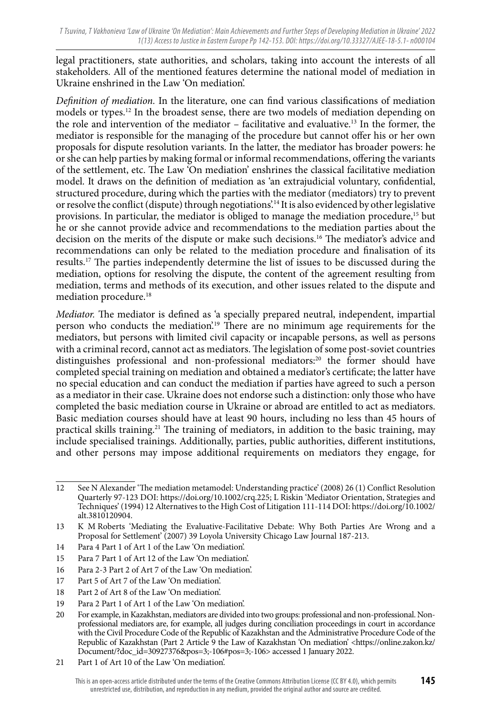legal practitioners, state authorities, and scholars, taking into account the interests of all stakeholders. All of the mentioned features determine the national model of mediation in Ukraine enshrined in the Law 'On mediation'.

*Definition of mediation.* In the literature, one can find various classifications of mediation models or types.12 In the broadest sense, there are two models of mediation depending on the role and intervention of the mediator – facilitative and evaluative.13 In the former, the mediator is responsible for the managing of the procedure but cannot offer his or her own proposals for dispute resolution variants. In the latter, the mediator has broader powers: he or she can help parties by making formal or informal recommendations, offering the variants of the settlement, etc. The Law 'On mediation' enshrines the classical facilitative mediation model. It draws on the definition of mediation as 'an extrajudicial voluntary, confidential, structured procedure, during which the parties with the mediator (mediators) try to prevent or resolve the conflict (dispute) through negotiations'.14 It is also evidenced by other legislative provisions. In particular, the mediator is obliged to manage the mediation procedure,<sup>15</sup> but he or she cannot provide advice and recommendations to the mediation parties about the decision on the merits of the dispute or make such decisions.16 The mediator's advice and recommendations can only be related to the mediation procedure and finalisation of its results.17 The parties independently determine the list of issues to be discussed during the mediation, options for resolving the dispute, the content of the agreement resulting from mediation, terms and methods of its execution, and other issues related to the dispute and mediation procedure.<sup>18</sup>

*Mediator.* The mediator is defined as 'a specially prepared neutral, independent, impartial person who conducts the mediation'.19 There are no minimum age requirements for the mediators, but persons with limited civil capacity or incapable persons, as well as persons with a criminal record, cannot act as mediators. The legislation of some post-soviet countries distinguishes professional and non-professional mediators:20 the former should have completed special training on mediation and obtained a mediator's certificate; the latter have no special education and can conduct the mediation if parties have agreed to such a person as a mediator in their case. Ukraine does not endorse such a distinction: only those who have completed the basic mediation course in Ukraine or abroad are entitled to act as mediators. Basic mediation courses should have at least 90 hours, including no less than 45 hours of practical skills training.<sup>21</sup> The training of mediators, in addition to the basic training, may include specialised trainings. Additionally, parties, public authorities, different institutions, and other persons may impose additional requirements on mediators they engage, for

- 14 Para 4 Part 1 of Art 1 of the Law 'On mediation'.
- 15 Para 7 Part 1 of Art 12 of the Law 'On mediation'.
- 16 Para 2-3 Part 2 of Art 7 of the Law 'On mediation'.
- 17 Part 5 of Art 7 of the Law 'On mediation'.
- 18 Part 2 of Art 8 of the Law 'On mediation'.
- 19 Para 2 Part 1 of Art 1 of the Law 'On mediation'.

21 Part 1 of Art 10 of the Law 'On mediation'.

<sup>12</sup> See N Alexander 'The mediation metamodel: Understanding practice' (2008) 26 (1) Conflict Resolution Quarterly 97-123 DOI: https://doi.org/10.1002/crq.225; L Riskin 'Mediator Orientation, Strategies and Techniques' (1994) 12 Alternatives to the High Cost of Litigation 111-114 DOI: https://doi.org/10.1002/ alt.3810120904.

<sup>13</sup> K M Roberts 'Mediating the Evaluative-Facilitative Debate: Why Both Parties Are Wrong and a Proposal for Settlement' (2007) 39 Loyola University Chicago Law Journal 187-213.

<sup>20</sup> For example, in Kazakhstan, mediators are divided into two groups: professional and non-professional. Nonprofessional mediators are, for example, all judges during conciliation proceedings in court in accordance with the Civil Procedure Code of the Republic of Kazakhstan and the Administrative Procedure Code of the Republic of Kazakhstan (Part 2 Article 9 the Law of Kazakhstan 'On mediation' <https://online.zakon.kz/ Document/?doc\_id=30927376&pos=3;-106#pos=3;-106> accessed 1 January 2022.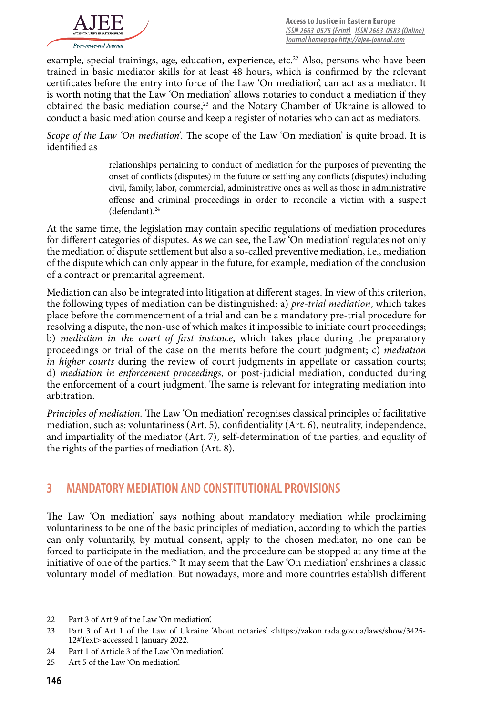

example, special trainings, age, education, experience,  $etc.<sup>22</sup>$  Also, persons who have been trained in basic mediator skills for at least 48 hours, which is confirmed by the relevant certificates before the entry into force of the Law 'On mediation', can act as a mediator. It is worth noting that the Law 'On mediation' allows notaries to conduct a mediation if they obtained the basic mediation course,23 and the Notary Chamber of Ukraine is allowed to conduct a basic mediation course and keep a register of notaries who can act as mediators.

*Scope of the Law 'On mediation'.* The scope of the Law 'On mediation' is quite broad. It is identified as

> relationships pertaining to conduct of mediation for the purposes of preventing the onset of conflicts (disputes) in the future or settling any conflicts (disputes) including civil, family, labor, commercial, administrative ones as well as those in administrative offense and criminal proceedings in order to reconcile a victim with a suspect (defendant).<sup>24</sup>

At the same time, the legislation may contain specific regulations of mediation procedures for different categories of disputes. As we can see, the Law 'On mediation' regulates not only the mediation of dispute settlement but also a so-called preventive mediation, i.e., mediation of the dispute which can only appear in the future, for example, mediation of the conclusion of a contract or premarital agreement.

Mediation can also be integrated into litigation at different stages. In view of this criterion, the following types of mediation can be distinguished: a) *pre-trial mediation*, which takes place before the commencement of a trial and can be a mandatory pre-trial procedure for resolving a dispute, the non-use of which makes it impossible to initiate court proceedings; b) *mediation in the court of first instance*, which takes place during the preparatory proceedings or trial of the case on the merits before the court judgment; c) *mediation in higher courts* during the review of court judgments in appellate or cassation courts; d) *mediation in enforcement proceedings*, or post-judicial mediation, conducted during the enforcement of a court judgment. The same is relevant for integrating mediation into arbitration.

*Principles of mediation.* The Law 'On mediation' recognises classical principles of facilitative mediation, such as: voluntariness (Art. 5), confidentiality (Art. 6), neutrality, independence, and impartiality of the mediator (Art. 7), self-determination of the parties, and equality of the rights of the parties of mediation (Art. 8).

### **3 MANDATORY MEDIATION AND CONSTITUTIONAL PROVISIONS**

The Law 'On mediation' says nothing about mandatory mediation while proclaiming voluntariness to be one of the basic principles of mediation, according to which the parties can only voluntarily, by mutual consent, apply to the chosen mediator, no one can be forced to participate in the mediation, and the procedure can be stopped at any time at the initiative of one of the parties.<sup>25</sup> It may seem that the Law 'On mediation' enshrines a classic voluntary model of mediation. But nowadays, more and more countries establish different

<sup>22</sup> Part 3 of Art 9 of the Law 'On mediation'.

<sup>23</sup> Part 3 of Art 1 of the Law of Ukraine 'About notaries' <https://zakon.rada.gov.ua/laws/show/3425-12#Text> accessed 1 January 2022.

<sup>24</sup> Part 1 of Article 3 of the Law 'On mediation'.

<sup>25</sup> Art 5 of the Law 'On mediation'.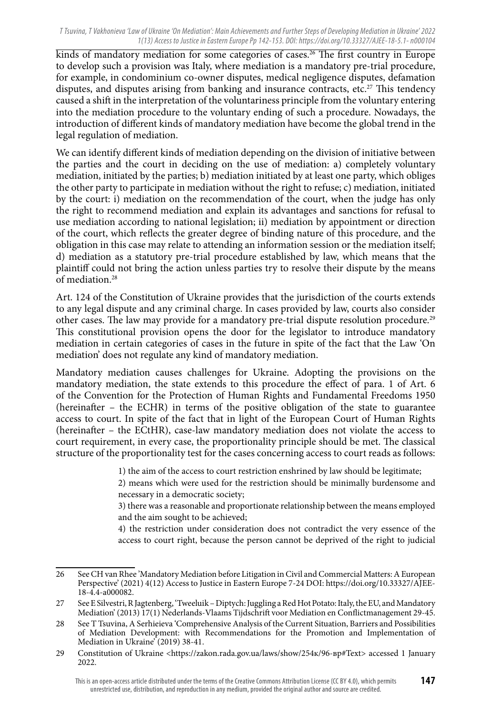kinds of mandatory mediation for some categories of cases.<sup>26</sup> The first country in Europe to develop such a provision was Italy, where mediation is a mandatory pre-trial procedure, for example, in condominium co-owner disputes, medical negligence disputes, defamation disputes, and disputes arising from banking and insurance contracts, etc.27 This tendency caused a shift in the interpretation of the voluntariness principle from the voluntary entering into the mediation procedure to the voluntary ending of such a procedure. Nowadays, the introduction of different kinds of mandatory mediation have become the global trend in the legal regulation of mediation.

We can identify different kinds of mediation depending on the division of initiative between the parties and the court in deciding on the use of mediation: a) completely voluntary mediation, initiated by the parties; b) mediation initiated by at least one party, which obliges the other party to participate in mediation without the right to refuse; c) mediation, initiated by the court: i) mediation on the recommendation of the court, when the judge has only the right to recommend mediation and explain its advantages and sanctions for refusal to use mediation according to national legislation; ii) mediation by appointment or direction of the court, which reflects the greater degree of binding nature of this procedure, and the obligation in this case may relate to attending an information session or the mediation itself; d) mediation as a statutory pre-trial procedure established by law, which means that the plaintiff could not bring the action unless parties try to resolve their dispute by the means of mediation.<sup>28</sup>

Art. 124 of the Constitution of Ukraine provides that the jurisdiction of the courts extends to any legal dispute and any criminal charge. In cases provided by law, courts also consider other cases. The law may provide for a mandatory pre-trial dispute resolution procedure.<sup>29</sup> This constitutional provision opens the door for the legislator to introduce mandatory mediation in certain categories of cases in the future in spite of the fact that the Law 'On mediation' does not regulate any kind of mandatory mediation.

Mandatory mediation causes challenges for Ukraine. Adopting the provisions on the mandatory mediation, the state extends to this procedure the effect of para. 1 of Art. 6 of the Convention for the Protection of Human Rights and Fundamental Freedoms 1950 (hereinafter – the ECHR) in terms of the positive obligation of the state to guarantee access to court. In spite of the fact that in light of the European Court of Human Rights (hereinafter – the ECtHR), case-law mandatory mediation does not violate the access to court requirement, in every case, the proportionality principle should be met. The classical structure of the proportionality test for the cases concerning access to court reads as follows:

1) the aim of the access to court restriction enshrined by law should be legitimate;

2) means which were used for the restriction should be minimally burdensome and necessary in a democratic society;

3) there was a reasonable and proportionate relationship between the means employed and the aim sought to be achieved;

4) the restriction under consideration does not contradict the very essence of the access to court right, because the person cannot be deprived of the right to judicial

<sup>26</sup> See CH van Rhee 'Mandatory Mediation before Litigation in Civil and Commercial Matters: A European Perspective' (2021) 4(12) Access to Justice in Eastern Europe 7-24 DOI: https://doi.org/10.33327/AJEE-18-4.4-a000082.

<sup>27</sup> See E Silvestri, R Jagtenberg, 'Tweeluik – Diptych: Juggling a Red Hot Potato: Italy, the EU, and Mandatory Mediation' (2013) 17(1) Nederlands-Vlaams Tijdschrift voor Mediation en Conflictmanagement 29-45.

<sup>28</sup> See T Tsuvina, A Serhieieva 'Comprehensive Analysis of the Current Situation, Barriers and Possibilities of Mediation Development: with Recommendations for the Promotion and Implementation of Mediation in Ukraine' (2019) 38-41.

<sup>29</sup> Constitution of Ukraine <https://zakon.rada.gov.ua/laws/show/254k/96-вр#Text> accessed 1 January 2022.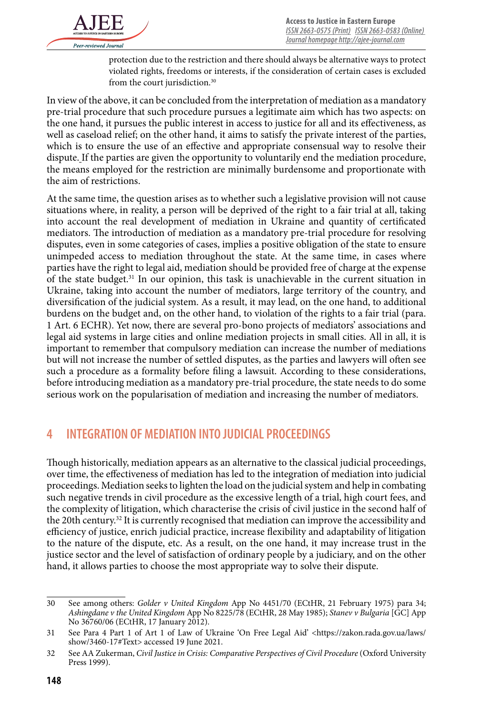

protection due to the restriction and there should always be alternative ways to protect violated rights, freedoms or interests, if the consideration of certain cases is excluded from the court jurisdiction.<sup>30</sup>

In view of the above, it can be concluded from the interpretation of mediation as a mandatory pre-trial procedure that such procedure pursues a legitimate aim which has two aspects: on the one hand, it pursues the public interest in access to justice for all and its effectiveness, as well as caseload relief; on the other hand, it aims to satisfy the private interest of the parties, which is to ensure the use of an effective and appropriate consensual way to resolve their dispute. If the parties are given the opportunity to voluntarily end the mediation procedure, the means employed for the restriction are minimally burdensome and proportionate with the aim of restrictions.

At the same time, the question arises as to whether such a legislative provision will not cause situations where, in reality, a person will be deprived of the right to a fair trial at all, taking into account the real development of mediation in Ukraine and quantity of certificated mediators. The introduction of mediation as a mandatory pre-trial procedure for resolving disputes, even in some categories of cases, implies a positive obligation of the state to ensure unimpeded access to mediation throughout the state. At the same time, in cases where parties have the right to legal aid, mediation should be provided free of charge at the expense of the state budget.<sup>31</sup> In our opinion, this task is unachievable in the current situation in Ukraine, taking into account the number of mediators, large territory of the country, and diversification of the judicial system. As a result, it may lead, on the one hand, to additional burdens on the budget and, on the other hand, to violation of the rights to a fair trial (para. 1 Art. 6 ECHR). Yet now, there are several pro-bono projects of mediators' associations and legal aid systems in large cities and online mediation projects in small cities. All in all, it is important to remember that compulsory mediation can increase the number of mediations but will not increase the number of settled disputes, as the parties and lawyers will often see such a procedure as a formality before filing a lawsuit. According to these considerations, before introducing mediation as a mandatory pre-trial procedure, the state needs to do some serious work on the popularisation of mediation and increasing the number of mediators.

### **4 INTEGRATION OF MEDIATION INTO JUDICIAL PROCEEDINGS**

Though historically, mediation appears as an alternative to the classical judicial proceedings, over time, the effectiveness of mediation has led to the integration of mediation into judicial proceedings. Mediation seeks to lighten the load on the judicial system and help in combating such negative trends in civil procedure as the excessive length of a trial, high court fees, and the complexity of litigation, which characterise the crisis of civil justice in the second half of the 20th century.<sup>32</sup> It is currently recognised that mediation can improve the accessibility and efficiency of justice, enrich judicial practice, increase flexibility and adaptability of litigation to the nature of the dispute, etc. As a result, on the one hand, it may increase trust in the justice sector and the level of satisfaction of ordinary people by a judiciary, and on the other hand, it allows parties to choose the most appropriate way to solve their dispute.

<sup>30</sup> See among others: *Golder v United Kingdom* App No 4451/70 (ECtHR, 21 February 1975) para 34; *Ashingdane v the United Kingdom* App No 8225/78 (ECtHR, 28 May 1985); *Stanev v Bulgaria* [GC] App No 36760/06 (ECtHR, 17 January 2012).

<sup>31</sup> See Para 4 Part 1 of Art 1 of Law of Ukraine 'On Free Legal Aid' <https://zakon.rada.gov.ua/laws/ show/3460-17#Text> accessed 19 June 2021.

<sup>32</sup> See AA Zukerman, *Civil Justice in Crisis: Comparative Perspectives of Civil Procedure* (Oxford University Press 1999).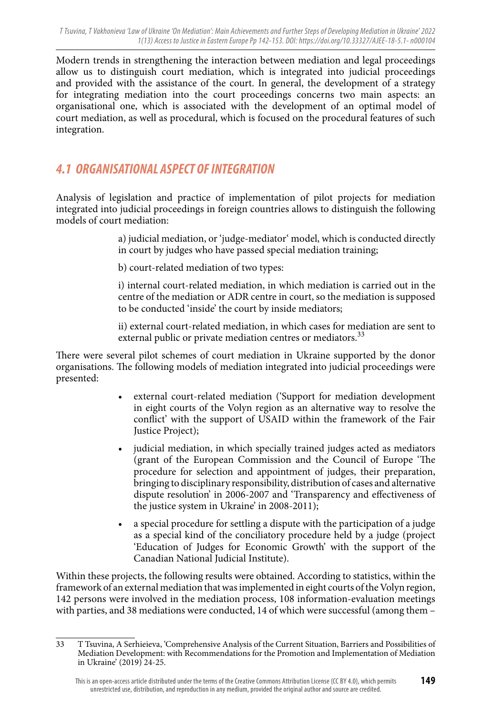Modern trends in strengthening the interaction between mediation and legal proceedings allow us to distinguish court mediation, which is integrated into judicial proceedings and provided with the assistance of the court. In general, the development of a strategy for integrating mediation into the court proceedings concerns two main aspects: an organisational one, which is associated with the development of an optimal model of court mediation, as well as procedural, which is focused on the procedural features of such integration.

## *4.1 ORGANISATIONAL ASPECT OF INTEGRATION*

Analysis of legislation and practice of implementation of pilot projects for mediation integrated into judicial proceedings in foreign countries allows to distinguish the following models of court mediation:

> a) judicial mediation, or 'judge-mediator' model, which is conducted directly in court by judges who have passed special mediation training;

b) court-related mediation of two types:

i) internal court-related mediation, in which mediation is carried out in the centre of the mediation or ADR centre in court, so the mediation is supposed to be conducted 'inside' the court by inside mediators;

ii) external court-related mediation, in which cases for mediation are sent to external public or private mediation centres or mediators.<sup>33</sup>

There were several pilot schemes of court mediation in Ukraine supported by the donor organisations. The following models of mediation integrated into judicial proceedings were presented:

- external court-related mediation ('Support for mediation development in eight courts of the Volyn region as an alternative way to resolve the conflict' with the support of USAID within the framework of the Fair Justice Project);
- judicial mediation, in which specially trained judges acted as mediators (grant of the European Commission and the Council of Europe 'The procedure for selection and appointment of judges, their preparation, bringing to disciplinary responsibility, distribution of cases and alternative dispute resolution' in 2006-2007 and 'Transparency and effectiveness of the justice system in Ukraine' in 2008-2011);
- a special procedure for settling a dispute with the participation of a judge as a special kind of the conciliatory procedure held by a judge (project 'Education of Judges for Economic Growth' with the support of the Canadian National Judicial Institute).

Within these projects, the following results were obtained. According to statistics, within the framework of an external mediation that was implemented in eight courts of the Volyn region, 142 persons were involved in the mediation process, 108 information-evaluation meetings with parties, and 38 mediations were conducted, 14 of which were successful (among them –

<sup>33</sup> T Tsuvina, A Serhieieva, 'Comprehensive Analysis of the Current Situation, Barriers and Possibilities of Mediation Development: with Recommendations for the Promotion and Implementation of Mediation in Ukraine' (2019) 24-25.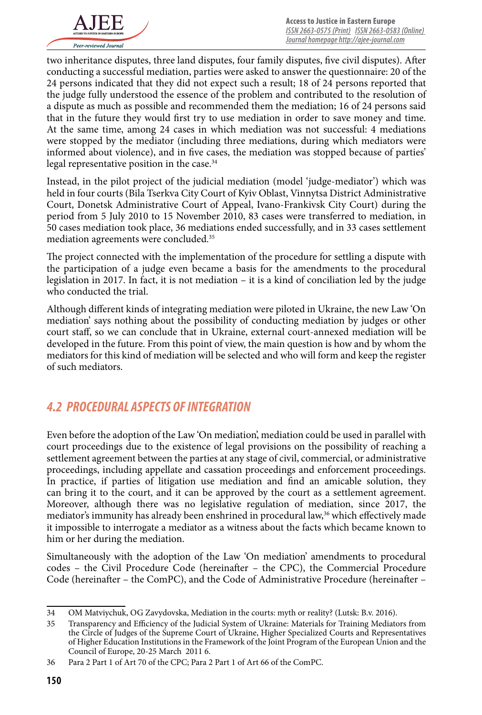

two inheritance disputes, three land disputes, four family disputes, five civil disputes). After conducting a successful mediation, parties were asked to answer the questionnaire: 20 of the 24 persons indicated that they did not expect such a result; 18 of 24 persons reported that the judge fully understood the essence of the problem and contributed to the resolution of a dispute as much as possible and recommended them the mediation; 16 of 24 persons said that in the future they would first try to use mediation in order to save money and time. At the same time, among 24 cases in which mediation was not successful: 4 mediations were stopped by the mediator (including three mediations, during which mediators were informed about violence), and in five cases, the mediation was stopped because of parties' legal representative position in the case.<sup>34</sup>

Instead, in the pilot project of the judicial mediation (model 'judge-mediator') which was held in four courts (Bila Tserkva City Court of Kyiv Oblast, Vinnytsa District Administrative Court, Donetsk Administrative Court of Appeal, Ivano-Frankivsk City Court) during the period from 5 July 2010 to 15 November 2010, 83 cases were transferred to mediation, in 50 cases mediation took place, 36 mediations ended successfully, and in 33 cases settlement mediation agreements were concluded.<sup>35</sup>

The project connected with the implementation of the procedure for settling a dispute with the participation of a judge even became a basis for the amendments to the procedural legislation in 2017. In fact, it is not mediation – it is a kind of conciliation led by the judge who conducted the trial.

Although different kinds of integrating mediation were piloted in Ukraine, the new Law 'On mediation' says nothing about the possibility of conducting mediation by judges or other court staff, so we can conclude that in Ukraine, external court-annexed mediation will be developed in the future. From this point of view, the main question is how and by whom the mediators for this kind of mediation will be selected and who will form and keep the register of such mediators.

### *4.2 PROCEDURAL ASPECTS OF INTEGRATION*

Even before the adoption of the Law 'On mediation', mediation could be used in parallel with court proceedings due to the existence of legal provisions on the possibility of reaching a settlement agreement between the parties at any stage of civil, commercial, or administrative proceedings, including appellate and cassation proceedings and enforcement proceedings. In practice, if parties of litigation use mediation and find an amicable solution, they can bring it to the court, and it can be approved by the court as a settlement agreement. Moreover, although there was no legislative regulation of mediation, since 2017, the mediator's immunity has already been enshrined in procedural law,<sup>36</sup> which effectively made it impossible to interrogate a mediator as a witness about the facts which became known to him or her during the mediation.

Simultaneously with the adoption of the Law 'On mediation' amendments to procedural codes – the Civil Procedure Code (hereinafter – the CPC), the Commercial Procedure Code (hereinafter – the ComPC), and the Code of Administrative Procedure (hereinafter –

<sup>34</sup> OM Matviychuk, OG Zavydovska, Mediation in the courts: myth or reality? (Lutsk: B.v. 2016).

<sup>35</sup> Transparency and Efficiency of the Judicial System of Ukraine: Materials for Training Mediators from the Circle of Judges of the Supreme Court of Ukraine, Higher Specialized Courts and Representatives of Higher Education Institutions in the Framework of the Joint Program of the European Union and the Council of Europe, 20-25 March 2011 6.

<sup>36</sup> Para 2 Part 1 of Art 70 of the CPC; Para 2 Part 1 of Art 66 of the ComPC.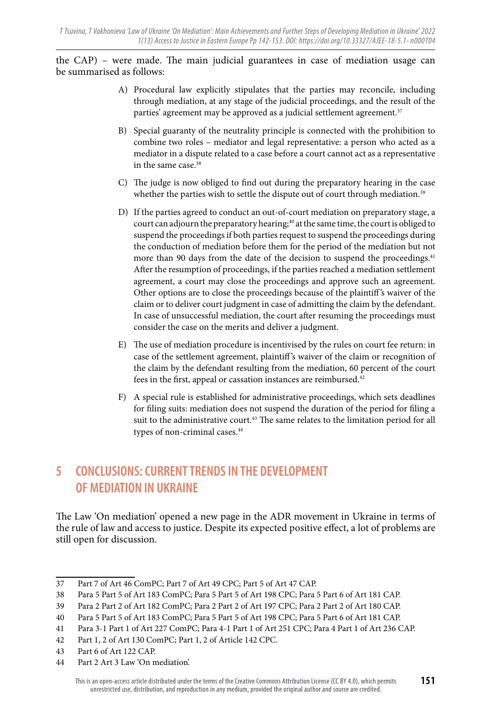the CAP) – were made. The main judicial guarantees in case of mediation usage can be summarised as follows:

- A) Procedural law explicitly stipulates that the parties may reconcile, including through mediation, at any stage of the judicial proceedings, and the result of the parties' agreement may be approved as a judicial settlement agreement.<sup>37</sup>
- B) Special guaranty of the neutrality principle is connected with the prohibition to combine two roles – mediator and legal representative: a person who acted as a mediator in a dispute related to a case before a court cannot act as a representative in the same case.<sup>38</sup>
- C) The judge is now obliged to find out during the preparatory hearing in the case whether the parties wish to settle the dispute out of court through mediation.<sup>39</sup>
- D) If the parties agreed to conduct an out-of-court mediation on preparatory stage, a court can adjourn the preparatory hearing;<sup>40</sup> at the same time, the court is obliged to suspend the proceedings if both parties request to suspend the proceedings during the conduction of mediation before them for the period of the mediation but not more than 90 days from the date of the decision to suspend the proceedings.<sup>41</sup> After the resumption of proceedings, if the parties reached a mediation settlement agreement, a court may close the proceedings and approve such an agreement. Other options are to close the proceedings because of the plaintiff 's waiver of the claim or to deliver court judgment in case of admitting the claim by the defendant. In case of unsuccessful mediation, the court after resuming the proceedings must consider the case on the merits and deliver a judgment.
- E) The use of mediation procedure is incentivised by the rules on court fee return: in case of the settlement agreement, plaintiff 's waiver of the claim or recognition of the claim by the defendant resulting from the mediation, 60 percent of the court fees in the first, appeal or cassation instances are reimbursed.42
- F) A special rule is established for administrative proceedings, which sets deadlines for filing suits: mediation does not suspend the duration of the period for filing a suit to the administrative court.<sup>43</sup> The same relates to the limitation period for all types of non-criminal cases.44

## **5 CONCLUSIONS: CURRENT TRENDS IN THE DEVELOPMENT OF MEDIATION IN UKRAINE**

The Law 'On mediation' opened a new page in the ADR movement in Ukraine in terms of the rule of law and access to justice. Despite its expected positive effect, a lot of problems are still open for discussion.

44 Part 2 Art 3 Law 'On mediation'.

<sup>37</sup> Part 7 of Art 46 ComPC; Part 7 of Art 49 CPC; Part 5 of Art 47 CAP.

<sup>38</sup> Para 5 Part 5 of Art 183 ComPC; Para 5 Part 5 of Art 198 CPC; Para 5 Part 6 of Art 181 CAP.

<sup>39</sup> Para 2 Part 2 of Art 182 ComPC; Para 2 Part 2 of Art 197 CPC; Para 2 Part 2 of Art 180 CAP.

<sup>40</sup> Para 5 Part 5 of Art 183 ComPC; Para 5 Part 5 of Art 198 CPC; Para 5 Part 6 of Art 181 CAP.

<sup>41</sup> Para 3-1 Part 1 of Art 227 ComPC; Para 4-1 Part 1 of Art 251 CPC; Para 4 Part 1 of Art 236 CAP.

<sup>42</sup> Part 1, 2 of Art 130 ComPC; Part 1, 2 of Article 142 CPC.

<sup>43</sup> Part 6 of Art 122 CAP.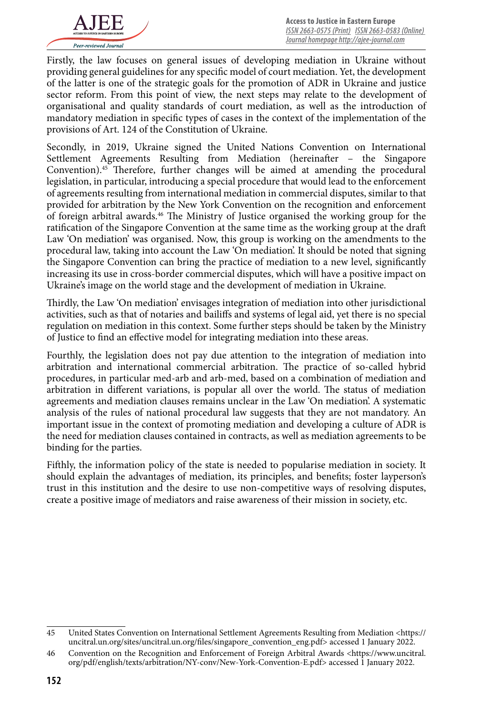

Firstly, the law focuses on general issues of developing mediation in Ukraine without providing general guidelines for any specific model of court mediation. Yet, the development of the latter is one of the strategic goals for the promotion of ADR in Ukraine and justice sector reform. From this point of view, the next steps may relate to the development of organisational and quality standards of court mediation, as well as the introduction of mandatory mediation in specific types of cases in the context of the implementation of the provisions of Art. 124 of the Constitution of Ukraine.

Secondly, in 2019, Ukraine signed the United Nations Convention on International Settlement Agreements Resulting from Mediation (hereinafter – the Singapore Convention).45 Therefore, further changes will be aimed at amending the procedural legislation, in particular, introducing a special procedure that would lead to the enforcement of agreements resulting from international mediation in commercial disputes, similar to that provided for arbitration by the New York Convention on the recognition and enforcement of foreign arbitral awards.46 The Ministry of Justice organised the working group for the ratification of the Singapore Convention at the same time as the working group at the draft Law 'On mediation' was organised. Now, this group is working on the amendments to the procedural law, taking into account the Law 'On mediation'. It should be noted that signing the Singapore Convention can bring the practice of mediation to a new level, significantly increasing its use in cross-border commercial disputes, which will have a positive impact on Ukraine's image on the world stage and the development of mediation in Ukraine.

Thirdly, the Law 'On mediation' envisages integration of mediation into other jurisdictional activities, such as that of notaries and bailiffs and systems of legal aid, yet there is no special regulation on mediation in this context. Some further steps should be taken by the Ministry of Justice to find an effective model for integrating mediation into these areas.

Fourthly, the legislation does not pay due attention to the integration of mediation into arbitration and international commercial arbitration. The practice of so-called hybrid procedures, in particular med-arb and arb-med, based on a combination of mediation and arbitration in different variations, is popular all over the world. The status of mediation agreements and mediation clauses remains unclear in the Law 'On mediation'. A systematic analysis of the rules of national procedural law suggests that they are not mandatory. An important issue in the context of promoting mediation and developing a culture of ADR is the need for mediation clauses contained in contracts, as well as mediation agreements to be binding for the parties.

Fifthly, the information policy of the state is needed to popularise mediation in society. It should explain the advantages of mediation, its principles, and benefits; foster layperson's trust in this institution and the desire to use non-competitive ways of resolving disputes, create a positive image of mediators and raise awareness of their mission in society, etc.

<sup>45</sup> United States Convention on International Settlement Agreements Resulting from Mediation <https:// uncitral.un.org/sites/uncitral.un.org/files/singapore\_convention\_eng.pdf> accessed 1 January 2022.

<sup>46</sup> Convention on the Recognition and Enforcement of Foreign Arbitral Awards <https://www.uncitral. org/pdf/english/texts/arbitration/NY-conv/New-York-Convention-E.pdf> accessed 1 January 2022.